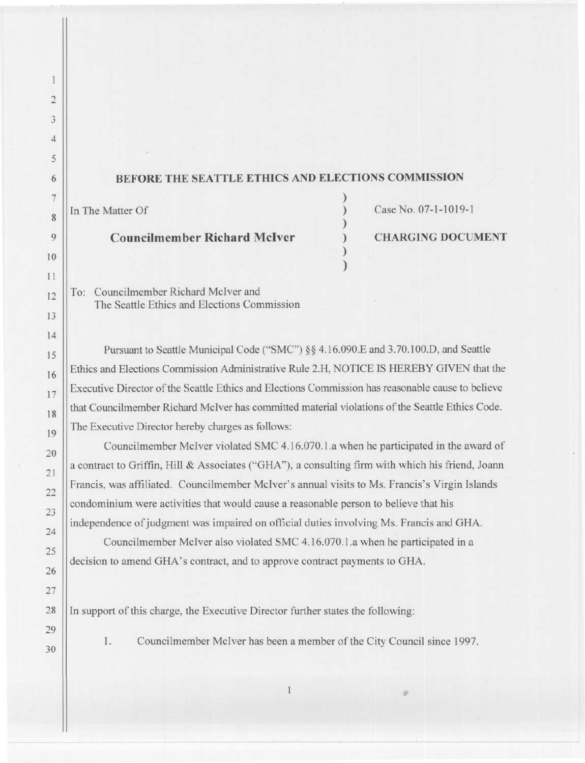## BEFORE THE SEATTLE ETHICS AND ELECTIONS COMMISSION

) ) ) ) ) )

Councilmember Richard McIver (a) CHARGING DOCUMENT

In The Matter Of Case No. 07-1-1019-1

To: Councilmember Richard McIver and The Seattle Ethics and Elections Commission

Pursuant to Seattle Municipal Code ("SMC") §§ 4.16.090.E and 3.70.100.D, and Seattle Ethics and Elections Commission Administrative Rule 2.H, NOTICE IS HEREBY GIVEN that the Executive Director of the Seattle Ethics and Elections Commission has reasonable cause to believe that Councilmember Richard McIver has committed material violations of the Seattle Ethics Code. The Executive Director hereby charges as follows:

Councilmember McIver violated SMC 4.16.070.1.a when he participated in the award of a contract to Griffin, Hill & Associates ("GHA"), a consulting firm with which his friend, Joann Francis, was affiliated. Councilmember McIver's annual visits to Ms. Francis's Virgin Islands condominium were activities that would cause a reasonable person to believe that his independence of judgment was impaired on official duties involving Ms. Francis and GHA.

Councilmember McIver also violated SMC 4.16.070.1.a when he participated in a decision to amend GHA's contract, and to approve contract payments to GHA.

- -

 $29$  II in support of this charge, the Executive Director function  $\mathcal{L}$ 

<sup>30</sup> <sup>1</sup>. Councilmember McIver has been a member of the City Council since 1997.

 $\mathbf{1}$ 

2

 $\mathbf{1}$ 

3

4

5

6

7